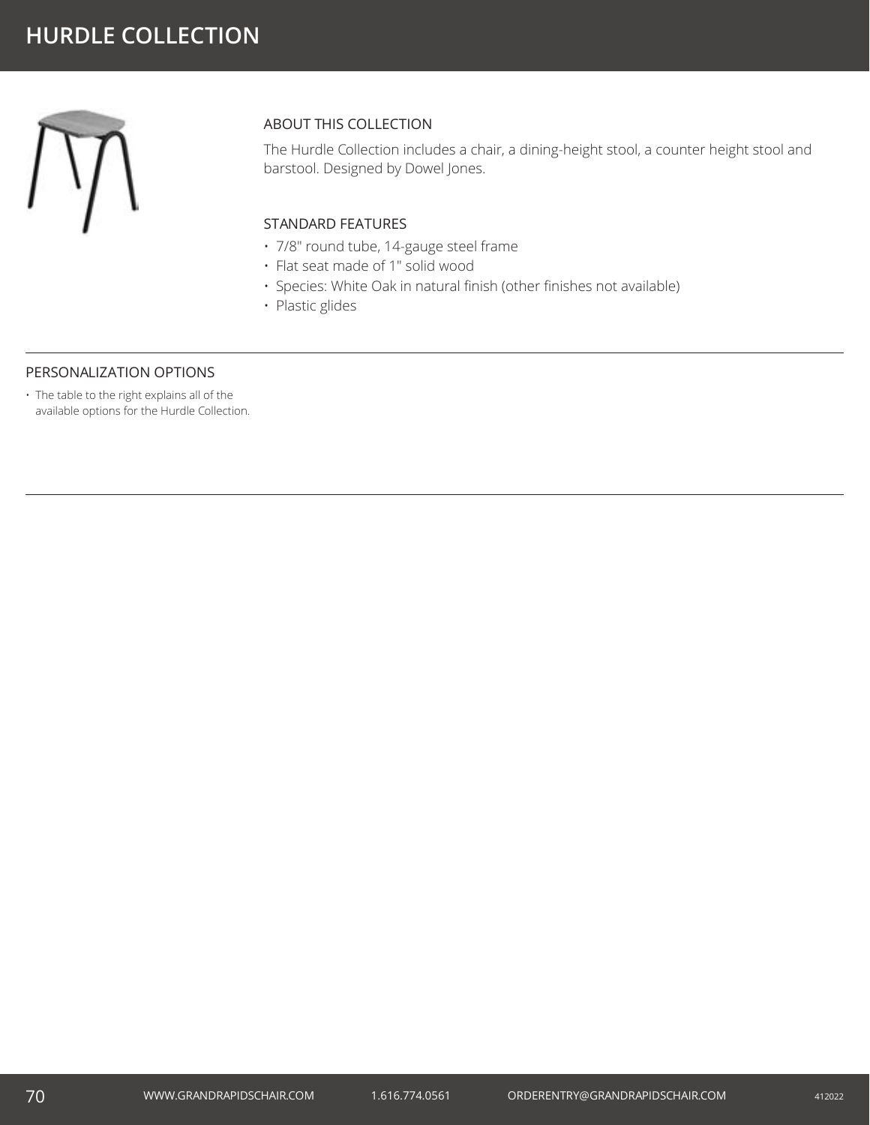

## ABOUT THIS COLLECTION

The Hurdle Collection includes a chair, a dining-height stool, a counter height stool and barstool. Designed by Dowel Jones.

### STANDARD FEATURES

- 7/8" round tube, 14-gauge steel frame
- Flat seat made of 1" solid wood
- Species: White Oak in natural finish (other finishes not available)
- Plastic glides

#### PERSONALIZATION OPTIONS

• The table to the right explains all of the available options for the Hurdle Collection.